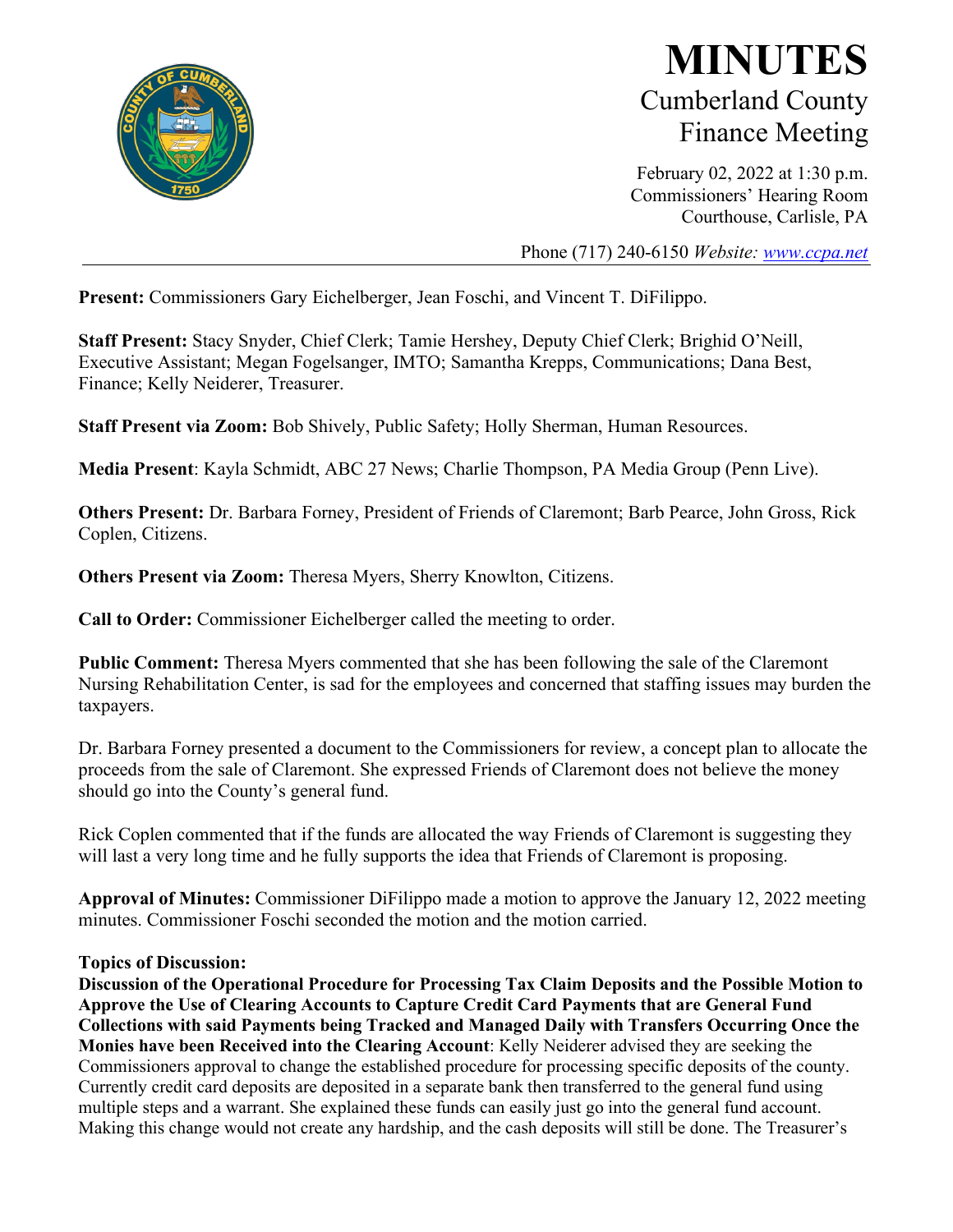

## **MINUTES** Cumberland County Finance Meeting

February 02, 2022 at 1:30 p.m. Commissioners' Hearing Room Courthouse, Carlisle, PA

Phone (717) 240-6150 *Website: [www.ccpa.net](http://www.ccpa.net/)*

**Present:** Commissioners Gary Eichelberger, Jean Foschi, and Vincent T. DiFilippo.

**Staff Present:** Stacy Snyder, Chief Clerk; Tamie Hershey, Deputy Chief Clerk; Brighid O'Neill, Executive Assistant; Megan Fogelsanger, IMTO; Samantha Krepps, Communications; Dana Best, Finance; Kelly Neiderer, Treasurer.

**Staff Present via Zoom:** Bob Shively, Public Safety; Holly Sherman, Human Resources.

**Media Present**: Kayla Schmidt, ABC 27 News; Charlie Thompson, PA Media Group (Penn Live).

**Others Present:** Dr. Barbara Forney, President of Friends of Claremont; Barb Pearce, John Gross, Rick Coplen, Citizens.

**Others Present via Zoom:** Theresa Myers, Sherry Knowlton, Citizens.

**Call to Order:** Commissioner Eichelberger called the meeting to order.

**Public Comment:** Theresa Myers commented that she has been following the sale of the Claremont Nursing Rehabilitation Center, is sad for the employees and concerned that staffing issues may burden the taxpayers.

Dr. Barbara Forney presented a document to the Commissioners for review, a concept plan to allocate the proceeds from the sale of Claremont. She expressed Friends of Claremont does not believe the money should go into the County's general fund.

Rick Coplen commented that if the funds are allocated the way Friends of Claremont is suggesting they will last a very long time and he fully supports the idea that Friends of Claremont is proposing.

**Approval of Minutes:** Commissioner DiFilippo made a motion to approve the January 12, 2022 meeting minutes. Commissioner Foschi seconded the motion and the motion carried.

## **Topics of Discussion:**

**Discussion of the Operational Procedure for Processing Tax Claim Deposits and the Possible Motion to Approve the Use of Clearing Accounts to Capture Credit Card Payments that are General Fund Collections with said Payments being Tracked and Managed Daily with Transfers Occurring Once the Monies have been Received into the Clearing Account**: Kelly Neiderer advised they are seeking the Commissioners approval to change the established procedure for processing specific deposits of the county. Currently credit card deposits are deposited in a separate bank then transferred to the general fund using multiple steps and a warrant. She explained these funds can easily just go into the general fund account. Making this change would not create any hardship, and the cash deposits will still be done. The Treasurer's